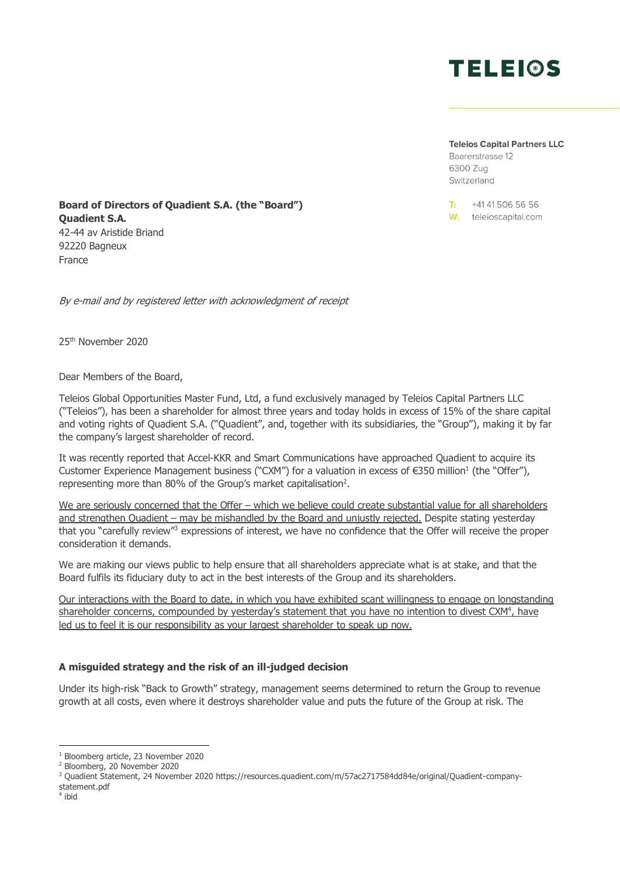

**Teleios Capital Partners LLC** 

Baarerstrasse 12 6300 Zug Switzerland

+41 41 506 56 56  $T<sub>2</sub>$ W: teleioscapital.com

**Board of Directors of Quadient S.A. (the "Board") Quadient S.A.** 42-44 av Aristide Briand 92220 Bagneux France

By e-mail and by registered letter with acknowledgment of receipt

25th November 2020

Dear Members of the Board,

Teleios Global Opportunities Master Fund, Ltd, a fund exclusively managed by Teleios Capital Partners LLC ("Teleios"), has been a shareholder for almost three years and today holds in excess of 15% of the share capital and voting rights of Quadient S.A. ("Quadient", and, together with its subsidiaries, the "Group"), making it by far the company's largest shareholder of record.

It was recently reported that Accel-KKR and Smart Communications have approached Quadient to acquire its Customer Experience Management business ("CXM") for a valuation in excess of  $\epsilon$ 350 million<sup>1</sup> (the "Offer"), representing more than 80% of the Group's market capitalisation<sup>2</sup>.

We are seriously concerned that the Offer – which we believe could create substantial value for all shareholders and strengthen Quadient – may be mishandled by the Board and unjustly rejected. Despite stating yesterday that you "carefully review"<sup>3</sup> expressions of interest, we have no confidence that the Offer will receive the proper consideration it demands.

We are making our views public to help ensure that all shareholders appreciate what is at stake, and that the Board fulfils its fiduciary duty to act in the best interests of the Group and its shareholders.

Our interactions with the Board to date, in which you have exhibited scant willingness to engage on longstanding shareholder concerns, compounded by yesterday's statement that you have no intention to divest CXM<sup>4</sup>, have led us to feel it is our responsibility as your largest shareholder to speak up now.

## **A misguided strategy and the risk of an ill-judged decision**

Under its high-risk "Back to Growth" strategy, management seems determined to return the Group to revenue growth at all costs, even where it destroys shareholder value and puts the future of the Group at risk. The

<sup>1</sup> Bloomberg article, 23 November 2020

<sup>2</sup> Bloomberg, 20 November 2020

<sup>3</sup> Quadient Statement, 24 November 2020 https://resources.quadient.com/m/57ac2717584dd84e/original/Quadient-companystatement.pdf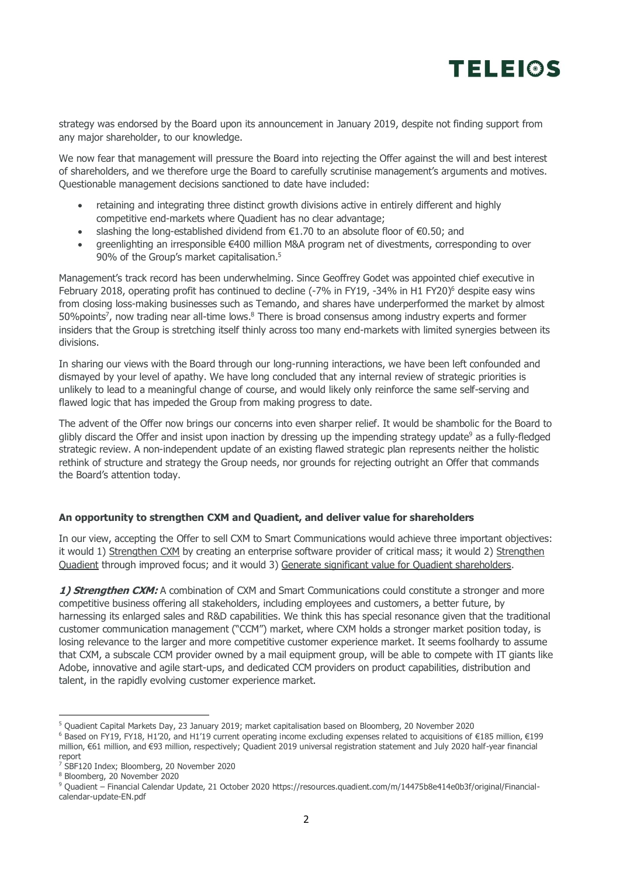## **TELEIOS**

strategy was endorsed by the Board upon its announcement in January 2019, despite not finding support from any major shareholder, to our knowledge.

We now fear that management will pressure the Board into rejecting the Offer against the will and best interest of shareholders, and we therefore urge the Board to carefully scrutinise management's arguments and motives. Questionable management decisions sanctioned to date have included:

- retaining and integrating three distinct growth divisions active in entirely different and highly competitive end-markets where Quadient has no clear advantage;
- slashing the long-established dividend from €1.70 to an absolute floor of €0.50; and
- greenlighting an irresponsible €400 million M&A program net of divestments, corresponding to over 90% of the Group's market capitalisation.<sup>5</sup>

Management's track record has been underwhelming. Since Geoffrey Godet was appointed chief executive in February 2018, operating profit has continued to decline (-7% in FY19, -34% in H1 FY20)<sup>6</sup> despite easy wins from closing loss-making businesses such as Temando, and shares have underperformed the market by almost 50%points<sup>7</sup>, now trading near all-time lows.<sup>8</sup> There is broad consensus among industry experts and former insiders that the Group is stretching itself thinly across too many end-markets with limited synergies between its divisions.

In sharing our views with the Board through our long-running interactions, we have been left confounded and dismayed by your level of apathy. We have long concluded that any internal review of strategic priorities is unlikely to lead to a meaningful change of course, and would likely only reinforce the same self-serving and flawed logic that has impeded the Group from making progress to date.

The advent of the Offer now brings our concerns into even sharper relief. It would be shambolic for the Board to glibly discard the Offer and insist upon inaction by dressing up the impending strategy update<sup>9</sup> as a fully-fledged strategic review. A non-independent update of an existing flawed strategic plan represents neither the holistic rethink of structure and strategy the Group needs, nor grounds for rejecting outright an Offer that commands the Board's attention today.

## **An opportunity to strengthen CXM and Quadient, and deliver value for shareholders**

In our view, accepting the Offer to sell CXM to Smart Communications would achieve three important objectives: it would 1) Strengthen CXM by creating an enterprise software provider of critical mass; it would 2) Strengthen Quadient through improved focus; and it would 3) Generate significant value for Quadient shareholders.

**1) Strengthen CXM:** A combination of CXM and Smart Communications could constitute a stronger and more competitive business offering all stakeholders, including employees and customers, a better future, by harnessing its enlarged sales and R&D capabilities. We think this has special resonance given that the traditional customer communication management ("CCM") market, where CXM holds a stronger market position today, is losing relevance to the larger and more competitive customer experience market. It seems foolhardy to assume that CXM, a subscale CCM provider owned by a mail equipment group, will be able to compete with IT giants like Adobe, innovative and agile start-ups, and dedicated CCM providers on product capabilities, distribution and talent, in the rapidly evolving customer experience market.

<sup>5</sup> Quadient Capital Markets Day, 23 January 2019; market capitalisation based on Bloomberg, 20 November 2020

<sup>6</sup> Based on FY19, FY18, H1'20, and H1'19 current operating income excluding expenses related to acquisitions of €185 million, €199 million, €61 million, and €93 million, respectively; Quadient 2019 universal registration statement and July 2020 half-year financial report

<sup>&</sup>lt;sup>7</sup> SBF120 Index; Bloomberg, 20 November 2020

<sup>8</sup> Bloomberg, 20 November 2020

<sup>9</sup> Quadient – Financial Calendar Update, 21 October 2020 https://resources.quadient.com/m/14475b8e414e0b3f/original/Financialcalendar-update-EN.pdf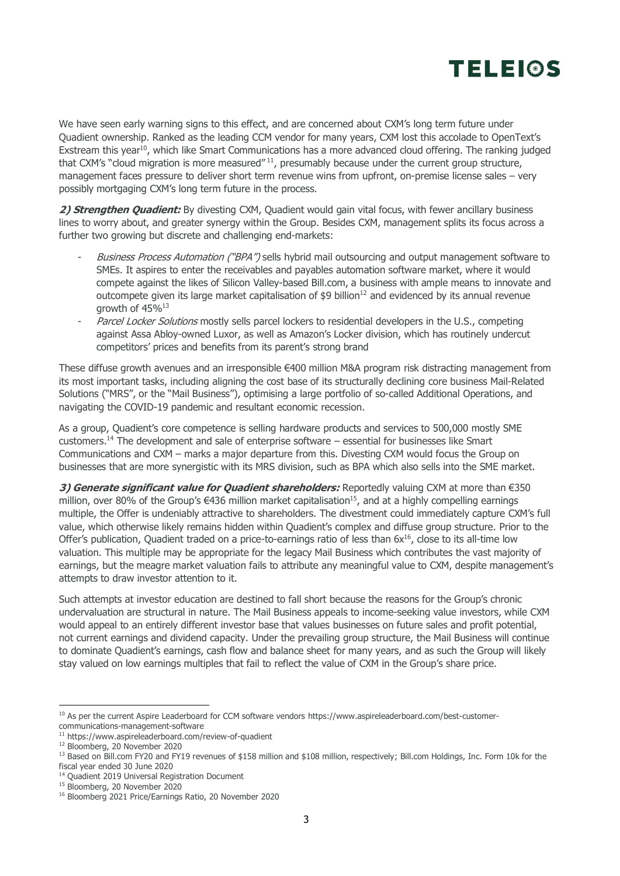

We have seen early warning signs to this effect, and are concerned about CXM's long term future under Quadient ownership. Ranked as the leading CCM vendor for many years, CXM lost this accolade to OpenText's Exstream this year<sup>10</sup>, which like Smart Communications has a more advanced cloud offering. The ranking judged that CXM's "cloud migration is more measured" <sup>11</sup>, presumably because under the current group structure, management faces pressure to deliver short term revenue wins from upfront, on-premise license sales – very possibly mortgaging CXM's long term future in the process.

2) **Strengthen Quadient:** By divesting CXM, Quadient would gain vital focus, with fewer ancillary business lines to worry about, and greater synergy within the Group. Besides CXM, management splits its focus across a further two growing but discrete and challenging end-markets:

- Business Process Automation ("BPA") sells hybrid mail outsourcing and output management software to SMEs. It aspires to enter the receivables and payables automation software market, where it would compete against the likes of Silicon Valley-based Bill.com, a business with ample means to innovate and outcompete given its large market capitalisation of  $$9$  billion<sup>12</sup> and evidenced by its annual revenue growth of 45%<sup>13</sup>
- Parcel Locker Solutions mostly sells parcel lockers to residential developers in the U.S., competing against Assa Abloy-owned Luxor, as well as Amazon's Locker division, which has routinely undercut competitors' prices and benefits from its parent's strong brand

These diffuse growth avenues and an irresponsible €400 million M&A program risk distracting management from its most important tasks, including aligning the cost base of its structurally declining core business Mail-Related Solutions ("MRS", or the "Mail Business"), optimising a large portfolio of so-called Additional Operations, and navigating the COVID-19 pandemic and resultant economic recession.

As a group, Quadient's core competence is selling hardware products and services to 500,000 mostly SME customers. <sup>14</sup> The development and sale of enterprise software – essential for businesses like Smart Communications and CXM – marks a major departure from this. Divesting CXM would focus the Group on businesses that are more synergistic with its MRS division, such as BPA which also sells into the SME market.

**3) Generate significant value for Quadient shareholders:** Reportedly valuing CXM at more than €350 million, over 80% of the Group's €436 million market capitalisation<sup>15</sup>, and at a highly compelling earnings multiple, the Offer is undeniably attractive to shareholders. The divestment could immediately capture CXM's full value, which otherwise likely remains hidden within Quadient's complex and diffuse group structure. Prior to the Offer's publication, Quadient traded on a price-to-earnings ratio of less than 6x<sup>16</sup>, close to its all-time low valuation. This multiple may be appropriate for the legacy Mail Business which contributes the vast majority of earnings, but the meagre market valuation fails to attribute any meaningful value to CXM, despite management's attempts to draw investor attention to it.

Such attempts at investor education are destined to fall short because the reasons for the Group's chronic undervaluation are structural in nature. The Mail Business appeals to income-seeking value investors, while CXM would appeal to an entirely different investor base that values businesses on future sales and profit potential, not current earnings and dividend capacity. Under the prevailing group structure, the Mail Business will continue to dominate Quadient's earnings, cash flow and balance sheet for many years, and as such the Group will likely stay valued on low earnings multiples that fail to reflect the value of CXM in the Group's share price.

<sup>&</sup>lt;sup>10</sup> As per the current Aspire Leaderboard for CCM software vendors [https://www.aspireleaderboard.com/best-customer](https://www.aspireleaderboard.com/best-customer-communications-management-software)[communications-management-software](https://www.aspireleaderboard.com/best-customer-communications-management-software)

<sup>11</sup> <https://www.aspireleaderboard.com/review-of-quadient>

<sup>12</sup> Bloomberg, 20 November 2020

<sup>13</sup> Based on Bill.com FY20 and FY19 revenues of \$158 million and \$108 million, respectively; Bill.com Holdings, Inc. Form 10k for the fiscal year ended 30 June 2020

<sup>&</sup>lt;sup>14</sup> Ouadient 2019 Universal Registration Document

<sup>15</sup> Bloomberg, 20 November 2020

<sup>16</sup> Bloomberg 2021 Price/Earnings Ratio, 20 November 2020